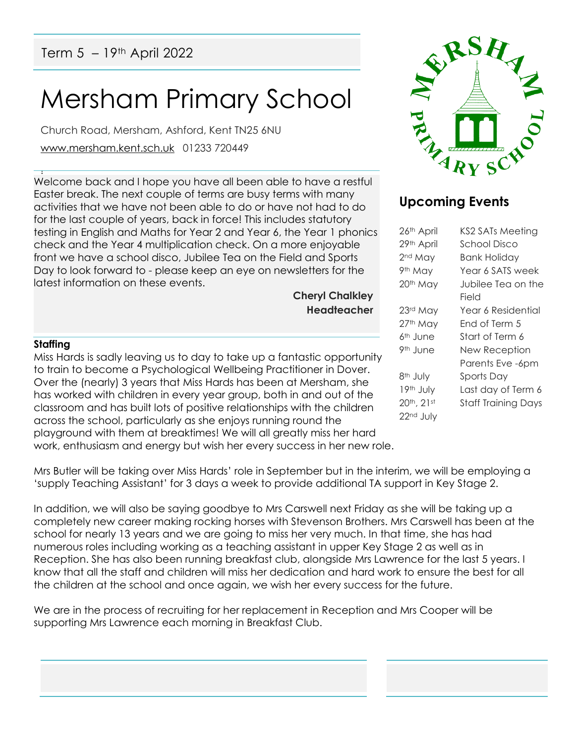# Mersham Primary School

Church Road, Mersham, Ashford, Kent TN25 6NU [www.mersham.kent.sch.uk](http://www.mersham.kent.sch.uk/) 01233 720449

! Welcome back and I hope you have all been able to have a restful Easter break. The next couple of terms are busy terms with many activities that we have not been able to do or have not had to do for the last couple of years, back in force! This includes statutory testing in English and Maths for Year 2 and Year 6, the Year 1 phonics check and the Year 4 multiplication check. On a more enjoyable front we have a school disco, Jubilee Tea on the Field and Sports Day to look forward to - please keep an eye on newsletters for the latest information on these events.

**Cheryl Chalkley Headteacher**

#### **Staffing**

Miss Hards is sadly leaving us to day to take up a fantastic opportunity to train to become a Psychological Wellbeing Practitioner in Dover. Over the (nearly) 3 years that Miss Hards has been at Mersham, she has worked with children in every year group, both in and out of the classroom and has built lots of positive relationships with the children across the school, particularly as she enjoys running round the playground with them at breaktimes! We will all greatly miss her hard work, enthusiasm and energy but wish her every success in her new role.

Mrs Butler will be taking over Miss Hards' role in September but in the interim, we will be employing a 'supply Teaching Assistant' for 3 days a week to provide additional TA support in Key Stage 2.

In addition, we will also be saying goodbye to Mrs Carswell next Friday as she will be taking up a completely new career making rocking horses with Stevenson Brothers. Mrs Carswell has been at the school for nearly 13 years and we are going to miss her very much. In that time, she has had numerous roles including working as a teaching assistant in upper Key Stage 2 as well as in Reception. She has also been running breakfast club, alongside Mrs Lawrence for the last 5 years. I know that all the staff and children will miss her dedication and hard work to ensure the best for all the children at the school and once again, we wish her every success for the future.

We are in the process of recruiting for her replacement in Reception and Mrs Cooper will be supporting Mrs Lawrence each morning in Breakfast Club.



## **Upcoming Events**

| 26th April           | <b>KS2 SATs Meeting</b>    |
|----------------------|----------------------------|
| 29th April           | School Disco               |
| 2 <sup>nd</sup> May  | Bank Holiday               |
| 9th May              | Year 6 SATS week           |
| 20th May             | Jubilee Tea on the         |
|                      | Field                      |
| 23rd May             | Year 6 Residential         |
| 27th May             | End of Term 5              |
| 6 <sup>th</sup> June | Start of Term 6            |
| 9 <sup>th</sup> June | <b>New Reception</b>       |
|                      | Parents Eve -6pm           |
| 8 <sup>th</sup> July | Sports Day                 |
| 19th July            | Last day of Term 6         |
| 20th, 21st           | <b>Staff Training Days</b> |
| 22nd July            |                            |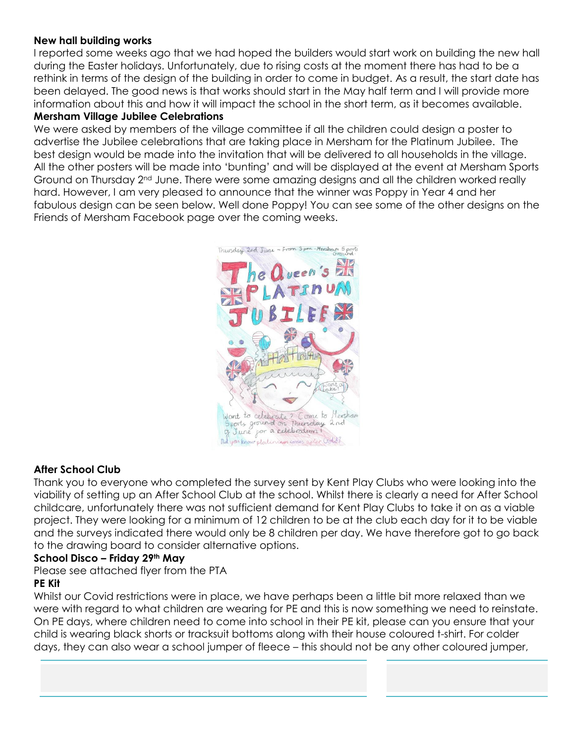#### **New hall building works**

I reported some weeks ago that we had hoped the builders would start work on building the new hall during the Easter holidays. Unfortunately, due to rising costs at the moment there has had to be a rethink in terms of the design of the building in order to come in budget. As a result, the start date has been delayed. The good news is that works should start in the May half term and I will provide more information about this and how it will impact the school in the short term, as it becomes available.

#### **Mersham Village Jubilee Celebrations**

We were asked by members of the village committee if all the children could design a poster to advertise the Jubilee celebrations that are taking place in Mersham for the Platinum Jubilee. The best design would be made into the invitation that will be delivered to all households in the village. All the other posters will be made into 'bunting' and will be displayed at the event at Mersham Sports Ground on Thursday  $2^{nd}$  June. There were some amazing designs and all the children worked really hard. However, I am very pleased to announce that the winner was Poppy in Year 4 and her fabulous design can be seen below. Well done Poppy! You can see some of the other designs on the Friends of Mersham Facebook page over the coming weeks.



### **After School Club**

Thank you to everyone who completed the survey sent by Kent Play Clubs who were looking into the viability of setting up an After School Club at the school. Whilst there is clearly a need for After School childcare, unfortunately there was not sufficient demand for Kent Play Clubs to take it on as a viable project. They were looking for a minimum of 12 children to be at the club each day for it to be viable and the surveys indicated there would only be 8 children per day. We have therefore got to go back to the drawing board to consider alternative options.

#### **School Disco – Friday 29th May**

Please see attached flyer from the PTA

#### **PE Kit**

Whilst our Covid restrictions were in place, we have perhaps been a little bit more relaxed than we were with regard to what children are wearing for PE and this is now something we need to reinstate. On PE days, where children need to come into school in their PE kit, please can you ensure that your child is wearing black shorts or tracksuit bottoms along with their house coloured t-shirt. For colder days, they can also wear a school jumper of fleece – this should not be any other coloured jumper,